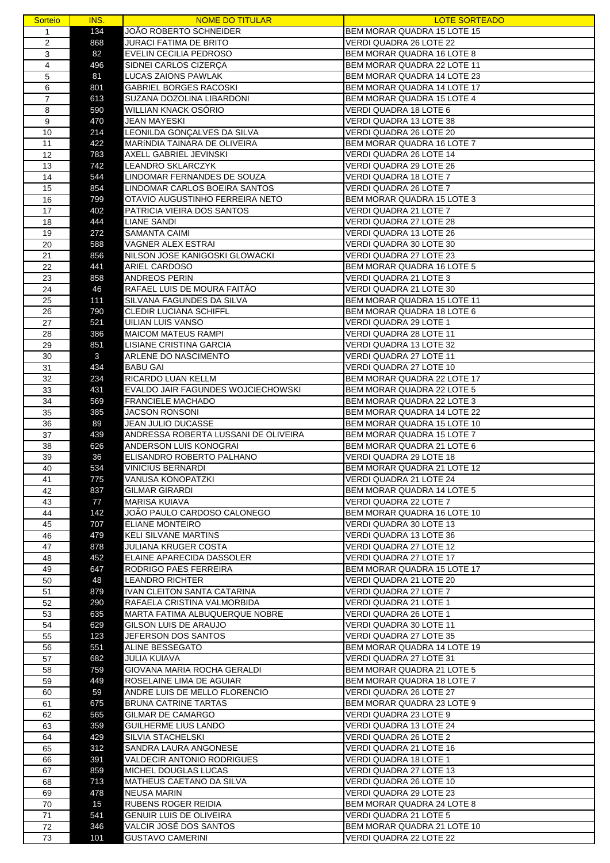| <b>Sorteio</b> | INS. | <b>NOME DO TITULAR</b>               | <b>LOTE SORTEADO</b>                                            |
|----------------|------|--------------------------------------|-----------------------------------------------------------------|
| 1              | 134  | JOÃO ROBERTO SCHNEIDER               | BEM MORAR QUADRA 15 LOTE 15                                     |
| $\overline{2}$ | 868  | JURACI FATIMA DE BRITO               | VERDI QUADRA 26 LOTE 22                                         |
| 3              | 82   | EVELIN CECILIA PEDROSO               | BEM MORAR QUADRA 16 LOTE 8                                      |
| 4              |      | SIDNEI CARLOS CIZERÇA                | BEM MORAR QUADRA 22 LOTE 11                                     |
|                | 496  |                                      |                                                                 |
| 5              | 81   | LUCAS ZAIONS PAWLAK                  | BEM MORAR QUADRA 14 LOTE 23                                     |
| 6              | 801  | <b>GABRIEL BORGES RACOSKI</b>        | BEM MORAR QUADRA 14 LOTE 17                                     |
| $\overline{7}$ | 613  | SUZANA DOZOLINA LIBARDONI            | BEM MORAR QUADRA 15 LOTE 4                                      |
| 8              | 590  | <b>WILLIAN KNACK OSORIO</b>          | VERDI QUADRA 18 LOTE 6                                          |
| 9              | 470  | <b>JEAN MAYESKI</b>                  | VERDI QUADRA 13 LOTE 38                                         |
| 10             | 214  | LEONILDA GONÇALVES DA SILVA          | VERDI QUADRA 26 LOTE 20                                         |
| 11             | 422  | MARÍNDIA TAINARA DE OLIVEIRA         | BEM MORAR QUADRA 16 LOTE 7                                      |
| 12             | 783  | AXELL GABRIEL JEVINSKI               | VERDI QUADRA 26 LOTE 14                                         |
| 13             | 742  | LEANDRO SKLARCZYK                    | VERDI QUADRA 29 LOTE 26                                         |
| 14             | 544  | LINDOMAR FERNANDES DE SOUZA          | <b>VERDI QUADRA 18 LOTE 7</b>                                   |
| 15             | 854  | LINDOMAR CARLOS BOEIRA SANTOS        | VERDI QUADRA 26 LOTE 7                                          |
| 16             | 799  | OTAVIO AUGUSTINHO FERREIRA NETO      | BEM MORAR QUADRA 15 LOTE 3                                      |
| 17             | 402  | PATRICIA VIEIRA DOS SANTOS           | VERDI QUADRA 21 LOTE 7                                          |
| 18             | 444  | <b>LIANE SANDI</b>                   | VERDI QUADRA 27 LOTE 28                                         |
| 19             | 272  | SAMANTA CAIMI                        | VERDI QUADRA 13 LOTE 26                                         |
|                |      | VAGNER ALEX ESTRAI                   | VERDI QUADRA 30 LOTE 30                                         |
| 20             | 588  |                                      |                                                                 |
| 21             | 856  | NILSON JOSE KANIGOSKI GLOWACKI       | VERDI QUADRA 27 LOTE 23                                         |
| 22             | 441  | ARIEL CARDOSO                        | BEM MORAR QUADRA 16 LOTE 5                                      |
| 23             | 858  | ANDREOS PERIN                        | VERDI QUADRA 21 LOTE 3                                          |
| 24             | 46   | RAFAEL LUIS DE MOURA FAITÃO          | VERDI QUADRA 21 LOTE 30                                         |
| 25             | 111  | SILVANA FAGUNDES DA SILVA            | BEM MORAR QUADRA 15 LOTE 11                                     |
| 26             | 790  | <b>CLEDIR LUCIANA SCHIFFL</b>        | BEM MORAR QUADRA 18 LOTE 6                                      |
| 27             | 521  | UILIAN LUIS VANSO                    | VERDI QUADRA 29 LOTE 1                                          |
| 28             | 386  | <b>MAICOM MATEUS RAMPI</b>           | VERDI QUADRA 28 LOTE 11                                         |
| 29             | 851  | LISIANE CRISTINA GARCIA              | VERDI QUADRA 13 LOTE 32                                         |
| 30             | 3    | ARLENE DO NASCIMENTO                 | VERDI QUADRA 27 LOTE 11                                         |
| 31             | 434  | <b>BABU GAI</b>                      | VERDI QUADRA 27 LOTE 10                                         |
| 32             | 234  | RICARDO LUAN KELLM                   | BEM MORAR QUADRA 22 LOTE 17                                     |
| 33             | 431  | EVALDO JAIR FAGUNDES WOJCIECHOWSKI   | BEM MORAR QUADRA 22 LOTE 5                                      |
| 34             | 569  | <b>FRANCIELE MACHADO</b>             | BEM MORAR QUADRA 22 LOTE 3                                      |
| 35             | 385  | <b>JACSON RONSONI</b>                | BEM MORAR QUADRA 14 LOTE 22                                     |
| 36             | 89   | JEAN JULIO DUCASSE                   | BEM MORAR QUADRA 15 LOTE 10                                     |
| 37             | 439  | ANDRESSA ROBERTA LUSSANI DE OLIVEIRA | BEM MORAR QUADRA 15 LOTE 7                                      |
| 38             | 626  | ANDERSON LUIS KONOGRAI               | BEM MORAR QUADRA 21 LOTE 6                                      |
| 39             | 36   | ELISANDRO ROBERTO PALHANO            | VERDI QUADRA 29 LOTE 18                                         |
| 40             | 534  | VINICIUS BERNARDI                    | <b>BEM MORAR QUADRA 21 LOTE 12</b>                              |
| 41             | 775  | VANUSA KONOPATZKI                    | VERDI QUADRA 21 LOTE 24                                         |
| 42             | 837  | <b>GILMAR GIRARDI</b>                | BEM MORAR QUADRA 14 LOTE 5                                      |
| 43             | 77   | <b>MARISA KUIAVA</b>                 | VERDI QUADRA 22 LOTE 7                                          |
| 44             | 142  | JOÃO PAULO CARDOSO CALONEGO          | BEM MORAR QUADRA 16 LOTE 10                                     |
| 45             | 707  | ELIANE MONTEIRO                      | VERDI QUADRA 30 LOTE 13                                         |
| 46             | 479  | KELI SILVANE MARTINS                 | VERDI QUADRA 13 LOTE 36                                         |
| 47             | 878  | JULIANA KRUGER COSTA                 | VERDI QUADRA 27 LOTE 12                                         |
| 48             | 452  | ELAINE APARECIDA DASSOLER            | VERDI QUADRA 27 LOTE 17                                         |
| 49             | 647  | RODRIGO PAES FERREIRA                | BEM MORAR QUADRA 15 LOTE 17                                     |
| 50             | 48   | <b>LEANDRO RICHTER</b>               | VERDI QUADRA 21 LOTE 20                                         |
| 51             | 879  | IVAN CLEITON SANTA CATARINA          | VERDI QUADRA 27 LOTE 7                                          |
| 52             | 290  | RAFAELA CRISTINA VALMORBIDA          | VERDI QUADRA 21 LOTE 1                                          |
| 53             | 635  | MARTA FATIMA ALBUQUERQUE NOBRE       | VERDI QUADRA 26 LOTE 1                                          |
| 54             | 629  | GILSON LUIS DE ARAUJO                | VERDI QUADRA 30 LOTE 11                                         |
| 55             | 123  | JEFERSON DOS SANTOS                  | VERDI QUADRA 27 LOTE 35                                         |
| 56             | 551  | ALINE BESSEGATO                      | BEM MORAR QUADRA 14 LOTE 19                                     |
|                | 682  | <b>JULIA KUIAVA</b>                  | VERDI QUADRA 27 LOTE 31                                         |
| 57             |      |                                      |                                                                 |
| 58             | 759  | GIOVANA MARIA ROCHA GERALDI          | BEM MORAR QUADRA 21 LOTE 5<br><b>BEM MORAR QUADRA 18 LOTE 7</b> |
| 59             | 449  | ROSELAINE LIMA DE AGUIAR             |                                                                 |
| 60             | 59   | ANDRE LUIS DE MELLO FLORENCIO        | VERDI QUADRA 26 LOTE 27                                         |
| 61             | 675  | <b>BRUNA CATRINE TARTAS</b>          | BEM MORAR QUADRA 23 LOTE 9                                      |
| 62             | 565  | GILMAR DE CAMARGO                    | VERDI QUADRA 23 LOTE 9                                          |
| 63             | 359  | GUILHERME LIUS LANDO                 | VERDI QUADRA 13 LOTE 24                                         |
| 64             | 429  | SILVIA STACHELSKI                    | VERDI QUADRA 26 LOTE 2                                          |
| 65             | 312  | SANDRA LAURA ANGONESE                | VERDI QUADRA 21 LOTE 16                                         |
| 66             | 391  | <b>VALDECIR ANTONIO RODRIGUES</b>    | VERDI QUADRA 18 LOTE 1                                          |
| 67             | 859  | MICHEL DOUGLAS LUCAS                 | VERDI QUADRA 27 LOTE 13                                         |
| 68             | 713  | MATHEUS CAETANO DA SILVA             | VERDI QUADRA 26 LOTE 10                                         |
| 69             | 478  | <b>NEUSA MARIN</b>                   | VERDI QUADRA 29 LOTE 23                                         |
| 70             | 15   | RUBENS ROGER REIDIA                  | BEM MORAR QUADRA 24 LOTE 8                                      |
| 71             | 541  | <b>GENUIR LUIS DE OLIVEIRA</b>       | VERDI QUADRA 21 LOTE 5                                          |
| 72             | 346  | VALCIR JOSE DOS SANTOS               | BEM MORAR QUADRA 21 LOTE 10                                     |
| 73             | 101  | <b>GUSTAVO CAMERINI</b>              | VERDI QUADRA 22 LOTE 22                                         |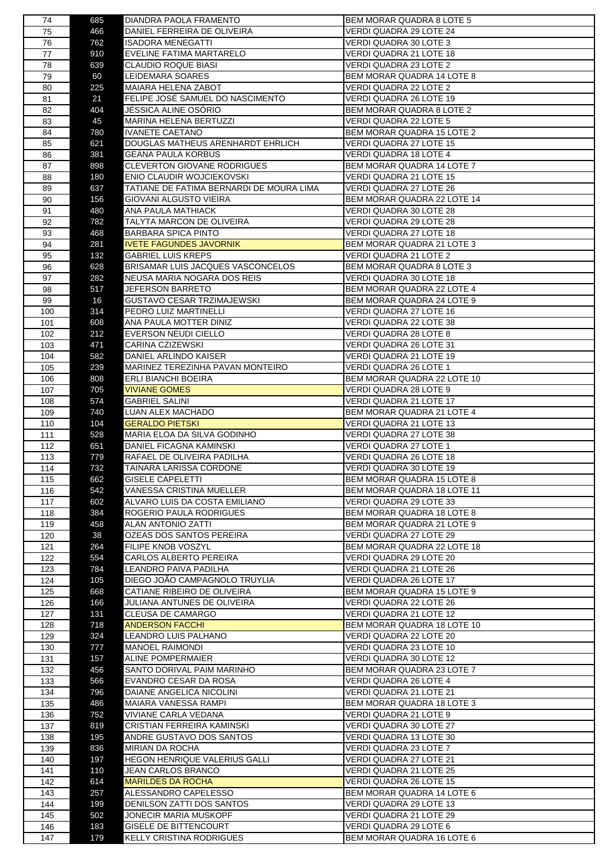| 74         | 685        | DIANDRA PAOLA FRAMENTO                                | BEM MORAR QUADRA 8 LOTE 5                         |
|------------|------------|-------------------------------------------------------|---------------------------------------------------|
| 75         | 466        | DANIEL FERREIRA DE OLIVEIRA                           | VERDI QUADRA 29 LOTE 24                           |
| 76         | 762        | ISADORA MENEGATTI                                     | VERDI QUADRA 30 LOTE 3                            |
| 77         | 910        | EVELINE FATIMA MARTARELO                              | VERDI QUADRA 21 LOTE 18                           |
| 78         | 639        | CLAUDIO ROQUE BIASI                                   | VERDI QUADRA 23 LOTE 2                            |
| 79         | 60         | LEIDEMARA SOARES                                      | BEM MORAR QUADRA 14 LOTE 8                        |
| 80         | 225        | MAIARA HELENA ZABOT                                   | VERDI QUADRA 22 LOTE 2                            |
| 81         | 21         | FELIPE JOSÉ SAMUEL DO NASCIMENTO                      | VERDI QUADRA 26 LOTE 19                           |
| 82         | 404        | JESSICA ALINE OSORIO                                  | BEM MORAR QUADRA 8 LOTE 2                         |
| 83         | 45         | MARINA HELENA BERTUZZI                                | VERDI QUADRA 22 LOTE 5                            |
| 84         | 780        | <b>IVANETE CAETANO</b>                                | <b>BEM MORAR QUADRA 15 LOTE 2</b>                 |
| 85         | 621        | DOUGLAS MATHEUS ARENHARDT EHRLICH                     | VERDI QUADRA 27 LOTE 15                           |
| 86         | 381        | GEANA PAULA KORBUS                                    | VERDI QUADRA 18 LOTE 4                            |
| 87         | 898        | CLEVERTON GIOVANE RODRIGUES                           | BEM MORAR QUADRA 14 LOTE 7                        |
| 88         | 180        | ENIO CLAUDIR WOJCIEKOVSKI                             | VERDI QUADRA 21 LOTE 15                           |
| 89         | 637        | TATIANE DE FATIMA BERNARDI DE MOURA LIMA              | VERDI QUADRA 27 LOTE 26                           |
| 90         | 156        | GIOVANI ALGUSTO VIEIRA                                | BEM MORAR QUADRA 22 LOTE 14                       |
| 91         | 480        | ANA PAULA MATHIACK                                    | VERDI QUADRA 30 LOTE 28                           |
| 92         | 782        | TALYTA MARCON DE OLIVEIRA                             | VERDI QUADRA 29 LOTE 28                           |
| 93         | 468        | <b>BARBARA SPICA PINTO</b>                            | VERDI QUADRA 27 LOTE 18                           |
| 94         | 281        | <b>IVETE FAGUNDES JAVORNIK</b>                        | <b>BEM MORAR QUADRA 21 LOTE 3</b>                 |
| 95         | 132        | <b>GABRIEL LUIS KREPS</b>                             | VERDI QUADRA 21 LOTE 2                            |
| 96         | 628        | BRISAMAR LUIS JACQUES VASCONCELOS                     | BEM MORAR QUADRA 8 LOTE 3                         |
| 97         | 282        | NEUSA MARIA NOGARA DOS REIS                           | VERDI QUADRA 30 LOTE 18                           |
| 98         | 517        | JEFERSON BARRETO                                      | <b>BEM MORAR QUADRA 22 LOTE 4</b>                 |
| 99         | 16         | GUSTAVO CESAR TRZIMAJEWSKI                            | BEM MORAR QUADRA 24 LOTE 9                        |
| 100        | 314        | PEDRO LUIZ MARTINELLI                                 | VERDI QUADRA 27 LOTE 16                           |
| 101        | 608<br>212 | ANA PAULA MOTTER DINIZ<br><b>EVERSON NEUDI CIELLO</b> | VERDI QUADRA 22 LOTE 38<br>VERDI QUADRA 28 LOTE 8 |
| 102        | 471        | CARINA CZIZEWSKI                                      | VERDI QUADRA 26 LOTE 31                           |
| 103<br>104 | 582        | DANIEL ARLINDO KAISER                                 | VERDI QUADRA 21 LOTE 19                           |
| 105        | 239        | MARINEZ TEREZINHA PAVAN MONTEIRO                      | VERDI QUADRA 26 LOTE 1                            |
| 106        | 808        | ERLI BIANCHI BOEIRA                                   | BEM MORAR QUADRA 22 LOTE 10                       |
| 107        | 705        | <b>VIVIANE GOMES</b>                                  | VERDI QUADRA 28 LOTE 9                            |
| 108        | 574        | <b>GABRIEL SALINI</b>                                 | VERDI QUADRA 21 LOTE 17                           |
| 109        | 740        | LUAN ALEX MACHADO                                     | <b>BEM MORAR QUADRA 21 LOTE 4</b>                 |
| 110        | 104        | <b>GERALDO PIETSKI</b>                                | VERDI QUADRA 21 LOTE 13                           |
| 111        | 528        | MARIA ELOA DA SILVA GODINHO                           | VERDI QUADRA 27 LOTE 38                           |
| 112        | 651        | DANIEL FICAGNA KAMINSKI                               | VERDI QUADRA 27 LOTE 1                            |
| 113        | 779        | RAFAEL DE OLIVEIRA PADILHA                            | VERDI QUADRA 26 LOTE 18                           |
| 114        | 732        | TAINARA LARISSA CORDONE                               | VERDI QUADRA 30 LOTE 19                           |
| 115        | 662        | <b>GISELE CAPELETTI</b>                               | BEM MORAR QUADRA 15 LOTE 8                        |
| 116        | 542        | VANESSA CRISTINA MUELLER                              | <b>BEM MORAR QUADRA 18 LOTE 11</b>                |
| 117        | 602        | ALVARO LUIS DA COSTA EMILIANO                         | VERDI QUADRA 29 LOTE 33                           |
| 118        | 384        | ROGERIO PAULA RODRIGUES                               | BEM MORAR QUADRA 18 LOTE 8                        |
| 119        | 458        | ALAN ANTONIO ZATTI                                    | BEM MORAR QUADRA 21 LOTE 9                        |
| 120        | 38         | OZEAS DOS SANTOS PEREIRA                              | VERDI QUADRA 27 LOTE 29                           |
| 121        | 264        | <b>FILIPE KNOB VOSZYL</b>                             | BEM MORAR QUADRA 22 LOTE 18                       |
| 122        | 554        | CARLOS ALBERTO PEREIRA                                | VERDI QUADRA 29 LOTE 20                           |
| 123        | 784        | LEANDRO PAIVA PADILHA                                 | VERDI QUADRA 21 LOTE 26                           |
| 124        | 105        | DIEGO JOÃO CAMPAGNOLO TRUYLIA                         | VERDI QUADRA 26 LOTE 17                           |
| 125        | 668        | CATIANE RIBEIRO DE OLIVEIRA                           | BEM MORAR QUADRA 15 LOTE 9                        |
| 126        | 166        | JULIANA ANTUNES DE OLIVEIRA                           | VERDI QUADRA 22 LOTE 26                           |
| 127        | 131        | CLEUSA DE CAMARGO                                     | VERDI QUADRA 21 LOTE 12                           |
| 128        | 718        | <b>ANDERSON FACCHI</b>                                | BEM MORAR QUADRA 18 LOTE 10                       |
| 129        | 324        | LEANDRO LUIS PALHANO                                  | VERDI QUADRA 22 LOTE 20                           |
| 130        | 777        | <b>MANOEL RAIMONDI</b>                                | VERDI QUADRA 23 LOTE 10                           |
| 131        | 157        | ALINE POMPERMAIER                                     | VERDI QUADRA 30 LOTE 12                           |
| 132        | 456        | SANTO DORIVAL PAIM MARINHO                            | BEM MORAR QUADRA 23 LOTE 7                        |
| 133        | 566        | EVANDRO CESAR DA ROSA                                 | VERDI QUADRA 26 LOTE 4                            |
| 134        | 796        | DAIANE ANGELICA NICOLINI                              | VERDI QUADRA 21 LOTE 21                           |
| 135        | 486        | MAIARA VANESSA RAMPI                                  | <b>BEM MORAR QUADRA 18 LOTE 3</b>                 |
| 136        | 752        | VIVIANE CARLA VEDANA                                  | VERDI QUADRA 21 LOTE 9                            |
| 137        | 819        | CRISTIAN FERREIRA KAMINSKI                            | VERDI QUADRA 30 LOTE 27                           |
| 138        | 195        | ANDRE GUSTAVO DOS SANTOS                              | VERDI QUADRA 13 LOTE 30                           |
| 139        | 836        | MIRIAN DA ROCHA                                       | VERDI QUADRA 23 LOTE 7                            |
| 140        | 197        | HEGON HENRIQUE VALERIUS GALLI                         | VERDI QUADRA 27 LOTE 21                           |
| 141        | 110        | JEAN CARLOS BRANCO                                    | VERDI QUADRA 21 LOTE 25                           |
| 142        | 614        | <b>MARILDES DA ROCHA</b>                              | VERDI QUADRA 26 LOTE 15                           |
| 143        | 257        | ALESSANDRO CAPELESSO                                  | BEM MORAR QUADRA 14 LOTE 6                        |
| 144        | 199        | DENILSON ZATTI DOS SANTOS                             | VERDI QUADRA 29 LOTE 13                           |
| 145        | 502        | JONECIR MARIA MUSKOPF                                 | VERDI QUADRA 21 LOTE 29                           |
| 146        | 183        | GISELE DE BITTENCOURT                                 | VERDI QUADRA 29 LOTE 6                            |
| 147        | 179        | KELLY CRISTINA RODRIGUES                              | BEM MORAR QUADRA 16 LOTE 6                        |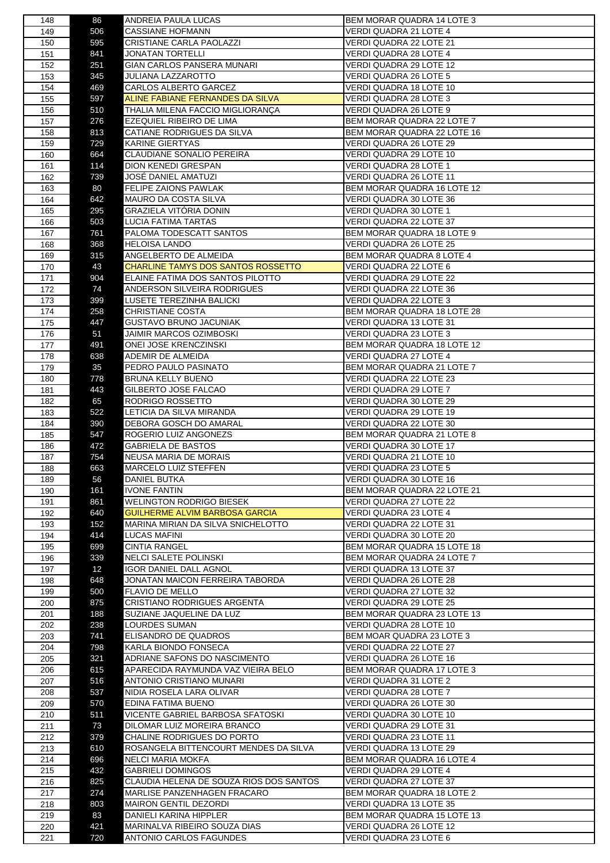| 148 | 86              | ANDREIA PAULA LUCAS                     | BEM MORAR QUADRA 14 LOTE 3                         |
|-----|-----------------|-----------------------------------------|----------------------------------------------------|
| 149 | 506             | CASSIANE HOFMANN                        | VERDI QUADRA 21 LOTE 4                             |
| 150 | 595             | CRISTIANE CARLA PAOLAZZI                | VERDI QUADRA 22 LOTE 21                            |
| 151 | 841             | JONATAN TORTELLI                        | VERDI QUADRA 28 LOTE 4                             |
| 152 | 251             | GIAN CARLOS PANSERA MUNARI              | VERDI QUADRA 29 LOTE 12                            |
|     | 345             | <b>JULIANA LAZZAROTTO</b>               |                                                    |
| 153 |                 |                                         | VERDI QUADRA 26 LOTE 5                             |
| 154 | 469             | CARLOS ALBERTO GARCEZ                   | VERDI QUADRA 18 LOTE 10                            |
| 155 | 597             | ALINE FABIANE FERNANDES DA SILVA        | VERDI QUADRA 28 LOTE 3                             |
| 156 | 510             | THALIA MILENA FACCIO MIGLIORANÇA        | VERDI QUADRA 26 LOTE 9                             |
| 157 | 276             | EZEQUIEL RIBEIRO DE LIMA                | BEM MORAR QUADRA 22 LOTE 7                         |
| 158 | 813             | CATIANE RODRIGUES DA SILVA              | BEM MORAR QUADRA 22 LOTE 16                        |
| 159 | 729             | <b>KARINE GIERTYAS</b>                  | VERDI QUADRA 26 LOTE 29                            |
|     | 664             | CLAUDIANE SONALIO PEREIRA               | VERDI QUADRA 29 LOTE 10                            |
| 160 |                 |                                         |                                                    |
| 161 | 114             | DION KENEDI GRESPAN                     | VERDI QUADRA 28 LOTE 1                             |
| 162 | 739             | JOSÉ DANIEL AMATUZI                     | VERDI QUADRA 26 LOTE 11                            |
| 163 | 80              | <b>FELIPE ZAIONS PAWLAK</b>             | BEM MORAR QUADRA 16 LOTE 12                        |
| 164 | 642             | MAURO DA COSTA SILVA                    | VERDI QUADRA 30 LOTE 36                            |
| 165 | 295             | GRAZIELA VITÓRIA DONIN                  | VERDI QUADRA 30 LOTE 1                             |
| 166 | 503             | LUCIA FATIMA TARTAS                     | VERDI QUADRA 22 LOTE 37                            |
| 167 | 761             | PALOMA TODESCATT SANTOS                 | BEM MORAR QUADRA 18 LOTE 9                         |
| 168 | 368             | <b>HELOISA LANDO</b>                    | VERDI QUADRA 26 LOTE 25                            |
|     |                 |                                         |                                                    |
| 169 | 315             | ANGELBERTO DE ALMEIDA                   | BEM MORAR QUADRA 8 LOTE 4                          |
| 170 | 43              | CHARLINE TAMYS DOS SANTOS ROSSETTO      | VERDI QUADRA 22 LOTE 6                             |
| 171 | 904             | ELAINE FATIMA DOS SANTOS PILOTTO        | VERDI QUADRA 29 LOTE 22                            |
| 172 | 74              | ANDERSON SILVEIRA RODRIGUES             | VERDI QUADRA 22 LOTE 36                            |
| 173 | 399             | LUSETE TEREZINHA BALICKI                | VERDI QUADRA 22 LOTE 3                             |
| 174 | 258             | <b>CHRISTIANE COSTA</b>                 | BEM MORAR QUADRA 18 LOTE 28                        |
| 175 | 447             | GUSTAVO BRUNO JACUNIAK                  | VERDI QUADRA 13 LOTE 31                            |
|     |                 |                                         |                                                    |
| 176 | 51              | JAIMIR MARCOS OZIMBOSKI                 | VERDI QUADRA 23 LOTE 3                             |
| 177 | 491             | ONEI JOSE KRENCZINSKI                   | BEM MORAR QUADRA 18 LOTE 12                        |
| 178 | 638             | ADEMIR DE ALMEIDA                       | VERDI QUADRA 27 LOTE 4                             |
| 179 | 35              | PEDRO PAULO PASINATO                    | BEM MORAR QUADRA 21 LOTE 7                         |
| 180 | 778             | BRUNA KELLY BUENO                       | VERDI QUADRA 22 LOTE 23                            |
| 181 | 443             | GILBERTO JOSE FALCAO                    | VERDI QUADRA 29 LOTE 7                             |
| 182 | 65              | RODRIGO ROSSETTO                        | VERDI QUADRA 30 LOTE 29                            |
| 183 | 522             | LETICIA DA SILVA MIRANDA                | VERDI QUADRA 29 LOTE 19                            |
|     |                 |                                         |                                                    |
| 184 | 390             | DEBORA GOSCH DO AMARAL                  | VERDI QUADRA 22 LOTE 30                            |
| 185 | 547             | ROGERIO LUIZ ANGONEZS                   | BEM MORAR QUADRA 21 LOTE 8                         |
| 186 | 472             | <b>GABRIELA DE BASTOS</b>               | VERDI QUADRA 30 LOTE 17                            |
| 187 | 754             | NEUSA MARIA DE MORAIS                   | VERDI QUADRA 21 LOTE 10                            |
| 188 | 663             | MARCELO LUIZ STEFFEN                    | VERDI QUADRA 23 LOTE 5                             |
| 189 | 56              | DANIEL BUTKA                            | VERDI QUADRA 30 LOTE 16                            |
| 190 | 161             | <b>IVONE FANTIN</b>                     | <b>BEM MORAR QUADRA 22 LOTE 21</b>                 |
| 191 | 861             | WELINGTON RODRIGO BIESEK                | VERDI QUADRA 27 LOTE 22                            |
|     |                 |                                         |                                                    |
| 192 | 640             | <b>GUILHERME ALVIM BARBOSA GARCIA</b>   | <b>VERDI QUADRA 23 LOTE 4</b>                      |
| 193 | 152             | MARINA MIRIAN DA SILVA SNICHELOTTO      | VERDI QUADRA 22 LOTE 31                            |
| 194 | 414             | LUCAS MAFINI                            | VERDI QUADRA 30 LOTE 20                            |
| 195 | 699             | <b>CINTIA RANGEL</b>                    | BEM MORAR QUADRA 15 LOTE 18                        |
| 196 | 339             | <b>NELCI SALETE POLINSKI</b>            | BEM MORAR QUADRA 24 LOTE 7                         |
| 197 | 12 <sub>2</sub> | IGOR DANIEL DALL AGNOL                  | VERDI QUADRA 13 LOTE 37                            |
| 198 | 648             | JONATAN MAICON FERREIRA TABORDA         | VERDI QUADRA 26 LOTE 28                            |
|     | 500             | FLAVIO DE MELLO                         |                                                    |
| 199 |                 | CRISTIANO RODRIGUES ARGENTA             | VERDI QUADRA 27 LOTE 32<br>VERDI QUADRA 29 LOTE 25 |
| 200 | 875             |                                         |                                                    |
| 201 | 188             | SUZIANE JAQUELINE DA LUZ                | BEM MORAR QUADRA 23 LOTE 13                        |
| 202 | 238             | LOURDES SUMAN                           | VERDI QUADRA 28 LOTE 10                            |
| 203 | 741             | ELISANDRO DE QUADROS                    | BEM MOAR QUADRA 23 LOTE 3                          |
| 204 | 798             | KARLA BIONDO FONSECA                    | VERDI QUADRA 22 LOTE 27                            |
| 205 | 321             | ADRIANE SAFONS DO NASCIMENTO            | VERDI QUADRA 26 LOTE 16                            |
| 206 | 615             | APARECIDA RAYMUNDA VAZ VIEIRA BELO      | BEM MORAR QUADRA 17 LOTE 3                         |
| 207 | 516             | ANTONIO CRISTIANO MUNARI                | VERDI QUADRA 31 LOTE 2                             |
|     |                 |                                         |                                                    |
| 208 | 537             | NIDIA ROSELA LARA OLIVAR                | VERDI QUADRA 28 LOTE 7                             |
| 209 | 570             | EDINA FATIMA BUENO                      | VERDI QUADRA 26 LOTE 30                            |
| 210 | 511             | VICENTE GABRIEL BARBOSA SFATOSKI        | VERDI QUADRA 30 LOTE 10                            |
| 211 | 73              | DILOMAR LUIZ MOREIRA BRANCO             | VERDI QUADRA 29 LOTE 31                            |
| 212 | 379             | CHALINE RODRIGUES DO PORTO              | VERDI QUADRA 23 LOTE 11                            |
| 213 | 610             | ROSANGELA BITTENCOURT MENDES DA SILVA   | VERDI QUADRA 13 LOTE 29                            |
| 214 | 696             | NELCI MARIA MOKFA                       | BEM MORAR QUADRA 16 LOTE 4                         |
| 215 | 432             | GABRIELI DOMINGOS                       | VERDI QUADRA 29 LOTE 4                             |
|     |                 |                                         |                                                    |
| 216 | 825             | CLAUDIA HELENA DE SOUZA RIOS DOS SANTOS | VERDI QUADRA 27 LOTE 37                            |
| 217 | 274             | MARLISE PANZENHAGEN FRACARO             | BEM MORAR QUADRA 18 LOTE 2                         |
| 218 | 803             | MAIRON GENTIL DEZORDI                   | VERDI QUADRA 13 LOTE 35                            |
| 219 | 83              | DANIELI KARINA HIPPLER                  | BEM MORAR QUADRA 15 LOTE 13                        |
| 220 | 421             | MARINALVA RIBEIRO SOUZA DIAS            | VERDI QUADRA 26 LOTE 12                            |
| 221 | 720             | ANTONIO CARLOS FAGUNDES                 | VERDI QUADRA 23 LOTE 6                             |
|     |                 |                                         |                                                    |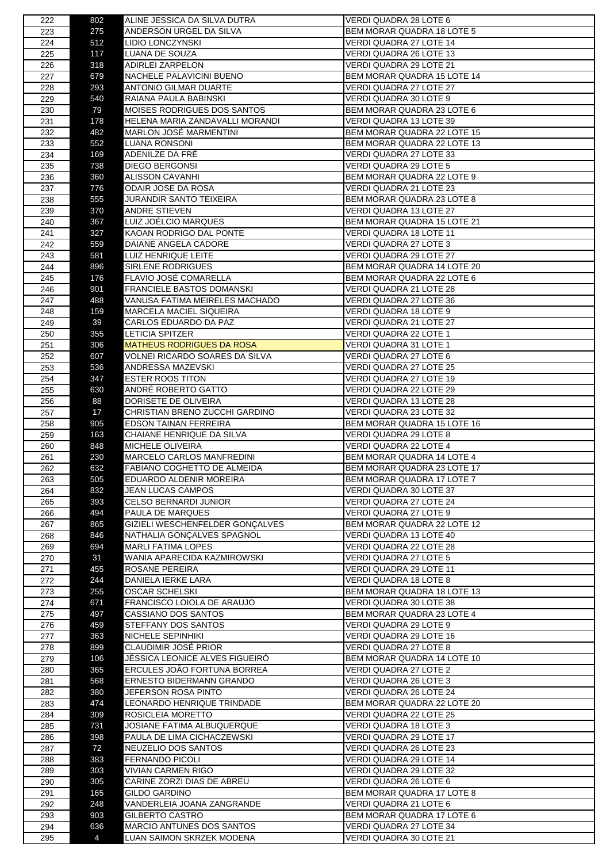| 222        | 802      | ALINE JESSICA DA SILVA DUTRA                           | VERDI QUADRA 28 LOTE 6                             |
|------------|----------|--------------------------------------------------------|----------------------------------------------------|
| 223        | 275      | ANDERSON URGEL DA SILVA                                | <b>BEM MORAR QUADRA 18 LOTE 5</b>                  |
| 224        | 512      | LIDIO LONCZYNSKI                                       | VERDI QUADRA 27 LOTE 14                            |
| 225        | 117      | LUANA DE SOUZA                                         | VERDI QUADRA 26 LOTE 13                            |
| 226        | 318      | ADIRLEI ZARPELON                                       | VERDI QUADRA 29 LOTE 21                            |
| 227        | 679      | NACHELE PALAVICINI BUENO                               | BEM MORAR QUADRA 15 LOTE 14                        |
|            |          |                                                        |                                                    |
| 228        | 293      | ANTONIO GILMAR DUARTE                                  | VERDI QUADRA 27 LOTE 27                            |
| 229        | 540      | RAIANA PAULA BABINSKI                                  | VERDI QUADRA 30 LOTE 9                             |
| 230        | 79       | MOISES RODRIGUES DOS SANTOS                            | BEM MORAR QUADRA 23 LOTE 6                         |
| 231        | 178      | HELENA MARIA ZANDAVALLI MORANDI                        | VERDI QUADRA 13 LOTE 39                            |
| 232        | 482      | MARLON JOSÉ MARMENTINI                                 | BEM MORAR QUADRA 22 LOTE 15                        |
| 233        | 552      | LUANA RONSONI                                          | BEM MORAR QUADRA 22 LOTE 13                        |
| 234        | 169      | ADENILZE DA FRÉ                                        | VERDI QUADRA 27 LOTE 33                            |
|            |          |                                                        |                                                    |
| 235        | 738      | DIEGO BERGONSI                                         | VERDI QUADRA 29 LOTE 5                             |
| 236        | 360      | <b>ALISSON CAVANHI</b>                                 | BEM MORAR QUADRA 22 LOTE 9                         |
| 237        | 776      | ODAIR JOSE DA ROSA                                     | VERDI QUADRA 21 LOTE 23                            |
| 238        | 555      | JURANDIR SANTO TEIXEIRA                                | BEM MORAR QUADRA 23 LOTE 8                         |
| 239        | 370      | ANDRE STIEVEN                                          | VERDI QUADRA 13 LOTE 27                            |
| 240        | 367      | LUIZ JOÉLCIO MARQUES                                   | BEM MORAR QUADRA 15 LOTE 21                        |
| 241        | 327      | KAOAN RODRIGO DAL PONTE                                | VERDI QUADRA 18 LOTE 11                            |
| 242        | 559      | DAIANE ANGELA CADORE                                   | VERDI QUADRA 27 LOTE 3                             |
| 243        | 581      | LUIZ HENRIQUE LEITE                                    | VERDI QUADRA 29 LOTE 27                            |
|            |          |                                                        | BEM MORAR QUADRA 14 LOTE 20                        |
| 244        | 896      | SIRLENE RODRIGUES                                      |                                                    |
| 245        | 176      | <b>FLAVIO JOSE COMARELLA</b>                           | BEM MORAR QUADRA 22 LOTE 6                         |
| 246        | 901      | FRANCIELE BASTOS DOMANSKI                              | VERDI QUADRA 21 LOTE 28                            |
| 247        | 488      | VANUSA FATIMA MEIRELES MACHADO                         | VERDI QUADRA 27 LOTE 36                            |
| 248        | 159      | MARCELA MACIEL SIQUEIRA                                | VERDI QUADRA 18 LOTE 9                             |
| 249        | 39       | CARLOS EDUARDO DA PAZ                                  | VERDI QUADRA 21 LOTE 27                            |
| 250        | 355      | <b>LETICIA SPITZER</b>                                 | VERDI QUADRA 22 LOTE 1                             |
|            | 306      | MATHEUS RODRIGUES DA ROSA                              | VERDI QUADRA 31 LOTE 1                             |
| 251        |          |                                                        |                                                    |
| 252        | 607      | VOLNEI RICARDO SOARES DA SILVA                         | VERDI QUADRA 27 LOTE 6                             |
| 253        | 536      | ANDRESSA MAZEVSKI                                      | VERDI QUADRA 27 LOTE 25                            |
| 254        | 347      | <b>ESTER ROOS TITON</b>                                | VERDI QUADRA 27 LOTE 19                            |
| 255        | 630      | ANDRÉ ROBERTO GATTO                                    | VERDI QUADRA 22 LOTE 29                            |
| 256        | 88       | DORISETE DE OLIVEIRA                                   | VERDI QUADRA 13 LOTE 28                            |
| 257        | 17       | CHRISTIAN BRENO ZUCCHI GARDINO                         | VERDI QUADRA 23 LOTE 32                            |
| 258        | 905      | <b>EDSON TAINAN FERREIRA</b>                           | BEM MORAR QUADRA 15 LOTE 16                        |
| 259        | 163      | CHAIANE HENRIQUE DA SILVA                              | VERDI QUADRA 29 LOTE 8                             |
|            |          |                                                        |                                                    |
| 260        | 848      | <b>MICHELE OLIVEIRA</b>                                | VERDI QUADRA 22 LOTE 4                             |
| 261        | 230      | MARCELO CARLOS MANFREDINI                              | BEM MORAR QUADRA 14 LOTE 4                         |
| 262        | 632      | FABIANO COGHETTO DE ALMEIDA                            | BEM MORAR QUADRA 23 LOTE 17                        |
| 263        | 505      | EDUARDO ALDENIR MOREIRA                                | BEM MORAR QUADRA 17 LOTE 7                         |
| 264        | 832      | <b>JEAN LUCAS CAMPOS</b>                               | VERDI QUADRA 30 LOTE 37                            |
| 265        | 393      | CELSO BERNARDI JUNIOR                                  | VERDI QUADRA 27 LOTE 24                            |
| 266        | 494      | PAULA DE MARQUES                                       | VERDI QUADRA 27 LOTE 9                             |
| 267        | 865      | GIZIELI WESCHENFELDER GONÇALVES                        | BEM MORAR QUADRA 22 LOTE 12                        |
| 268        | 846      | NATHALIA GONÇALVES SPAGNOL                             | VERDI QUADRA 13 LOTE 40                            |
|            |          |                                                        |                                                    |
| 269        | 694      | <b>MARLI FATIMA LOPES</b>                              | VERDI QUADRA 22 LOTE 28                            |
| 270        | 31       | WANIA APARECIDA KAZMIROWSKI                            | VERDI QUADRA 27 LOTE 5                             |
| 271        | 455      | ROSANE PEREIRA                                         | VERDI QUADRA 29 LOTE 11                            |
| 272        | 244      | DANIELA IERKE LARA                                     | <b>VERDI QUADRA 18 LOTE 8</b>                      |
| 273        | 255      |                                                        |                                                    |
|            |          | <b>OSCAR SCHELSKI</b>                                  | BEM MORAR QUADRA 18 LOTE 13                        |
| 274        | 671      | FRANCISCO LOIOLA DE ARAUJO                             | VERDI QUADRA 30 LOTE 38                            |
|            |          |                                                        |                                                    |
| 275        | 497      | CASSIANO DOS SANTOS                                    | BEM MORAR QUADRA 23 LOTE 4                         |
| 276        | 459      | STEFFANY DOS SANTOS                                    | VERDI QUADRA 29 LOTE 9                             |
| 277        | 363      | NICHELE SEPINHIKI                                      | VERDI QUADRA 29 LOTE 16                            |
| 278        | 899      | CLAUDIMIR JOSÉ PRIOR                                   | VERDI QUADRA 27 LOTE 8                             |
| 279        | 106      | JÉSSICA LEONICE ALVES FIGUEIRÓ                         | BEM MORAR QUADRA 14 LOTE 10                        |
| 280        | 365      | ERCULES JOÃO FORTUNA BORREA                            | VERDI QUADRA 27 LOTE 2                             |
| 281        | 568      | ERNESTO BIDERMANN GRANDO                               | VERDI QUADRA 26 LOTE 3                             |
| 282        | 380      | JEFERSON ROSA PINTO                                    | VERDI QUADRA 26 LOTE 24                            |
| 283        | 474      | LEONARDO HENRIQUE TRINDADE                             | BEM MORAR QUADRA 22 LOTE 20                        |
| 284        |          |                                                        |                                                    |
|            | 309      | ROSICLEIA MORETTO                                      | VERDI QUADRA 22 LOTE 25                            |
| 285        | 731      | JOSIANE FATIMA ALBUQUERQUE                             | VERDI QUADRA 18 LOTE 3                             |
| 286        | 398      | PAULA DE LIMA CICHACZEWSKI                             | VERDI QUADRA 29 LOTE 17                            |
| 287        | 72       | NEUZELIO DOS SANTOS                                    | VERDI QUADRA 26 LOTE 23                            |
| 288        | 383      | FERNANDO PICOLI                                        | VERDI QUADRA 29 LOTE 14                            |
| 289        | 303      | <b>VIVIAN CARMEN RIGO</b>                              | VERDI QUADRA 29 LOTE 32                            |
| 290        | 305      | CARINE ZORZI DIAS DE ABREU                             | VERDI QUADRA 26 LOTE 6                             |
|            |          | GILDO GARDINO                                          | BEM MORAR QUADRA 17 LOTE 8                         |
| 291        | 165      |                                                        |                                                    |
| 292        | 248      | VANDERLEIA JOANA ZANGRANDE                             | VERDI QUADRA 21 LOTE 6                             |
| 293        | 903      | GILBERTO CASTRO                                        | BEM MORAR QUADRA 17 LOTE 6                         |
| 294<br>295 | 636<br>4 | MARCIO ANTUNES DOS SANTOS<br>LUAN SAIMON SKRZEK MODENA | VERDI QUADRA 27 LOTE 34<br>VERDI QUADRA 30 LOTE 21 |